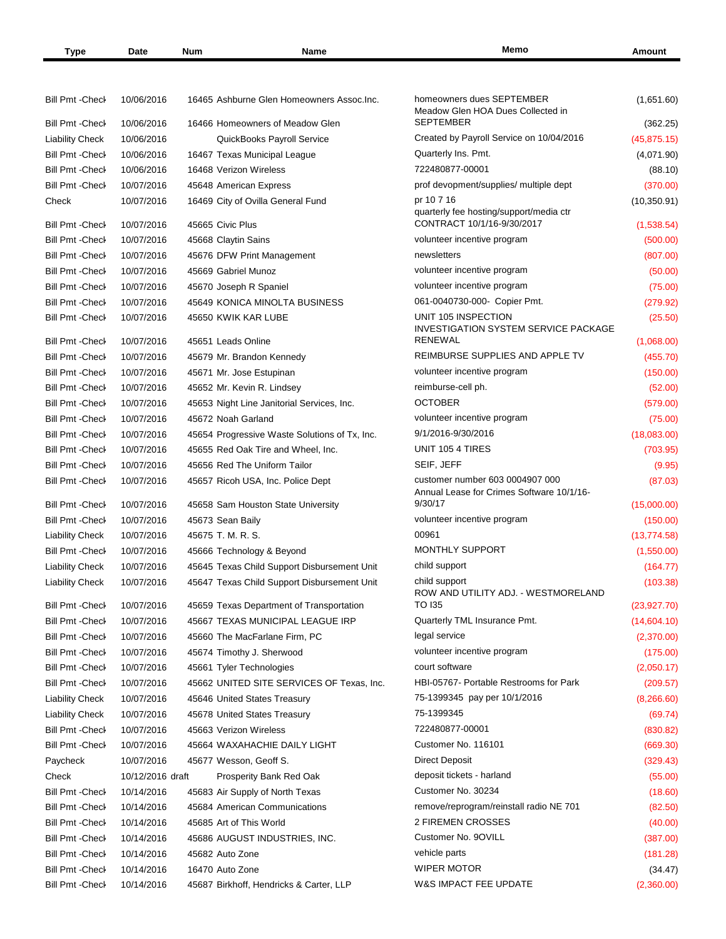| Type | Date | <b>Num</b> | Name | Memc<br>______ | <b>\mount</b> |
|------|------|------------|------|----------------|---------------|
|      |      |            |      |                |               |

| <b>Bill Pmt - Check</b> | 10/06/2016               | 16465 Ashburne Glen Homeowners Assoc. Inc.    | homeowners dues SEPTEMBER<br>Meadow Glen HOA Dues Collected in        | (1,651.60)   |
|-------------------------|--------------------------|-----------------------------------------------|-----------------------------------------------------------------------|--------------|
| <b>Bill Pmt -Check</b>  | 10/06/2016               | 16466 Homeowners of Meadow Glen               | <b>SEPTEMBER</b>                                                      | (362.25)     |
| <b>Liability Check</b>  | 10/06/2016               | QuickBooks Payroll Service                    | Created by Payroll Service on 10/04/2016                              | (45, 875.15) |
| <b>Bill Pmt - Check</b> | 10/06/2016               | 16467 Texas Municipal League                  | Quarterly Ins. Pmt.                                                   | (4,071.90)   |
| <b>Bill Pmt - Check</b> | 10/06/2016               | 16468 Verizon Wireless                        | 722480877-00001                                                       | (88.10)      |
| <b>Bill Pmt -Check</b>  | 10/07/2016               | 45648 American Express                        | prof devopment/supplies/ multiple dept                                | (370.00)     |
| Check                   | 10/07/2016               | 16469 City of Ovilla General Fund             | pr 10 7 16                                                            | (10, 350.91) |
| <b>Bill Pmt - Check</b> | 10/07/2016               | 45665 Civic Plus                              | quarterly fee hosting/support/media ctr<br>CONTRACT 10/1/16-9/30/2017 | (1,538.54)   |
| <b>Bill Pmt - Check</b> | 10/07/2016               | 45668 Claytin Sains                           | volunteer incentive program                                           | (500.00)     |
| <b>Bill Pmt -Check</b>  | 10/07/2016               | 45676 DFW Print Management                    | newsletters                                                           | (807.00)     |
| <b>Bill Pmt - Check</b> | 10/07/2016               | 45669 Gabriel Munoz                           | volunteer incentive program                                           | (50.00)      |
| <b>Bill Pmt - Check</b> | 10/07/2016               | 45670 Joseph R Spaniel                        | volunteer incentive program                                           | (75.00)      |
| <b>Bill Pmt -Check</b>  | 10/07/2016               | 45649 KONICA MINOLTA BUSINESS                 | 061-0040730-000- Copier Pmt.                                          | (279.92)     |
| <b>Bill Pmt -Check</b>  | 10/07/2016               | 45650 KWIK KAR LUBE                           | UNIT 105 INSPECTION                                                   | (25.50)      |
| <b>Bill Pmt - Check</b> | 10/07/2016               | 45651 Leads Online                            | <b>INVESTIGATION SYSTEM SERVICE PACKAGE</b><br><b>RENEWAL</b>         | (1,068.00)   |
| <b>Bill Pmt - Check</b> | 10/07/2016               | 45679 Mr. Brandon Kennedy                     | REIMBURSE SUPPLIES AND APPLE TV                                       | (455.70)     |
| <b>Bill Pmt -Check</b>  | 10/07/2016               | 45671 Mr. Jose Estupinan                      | volunteer incentive program                                           | (150.00)     |
| <b>Bill Pmt -Check</b>  | 10/07/2016               | 45652 Mr. Kevin R. Lindsey                    | reimburse-cell ph.                                                    | (52.00)      |
| <b>Bill Pmt - Check</b> | 10/07/2016               | 45653 Night Line Janitorial Services, Inc.    | <b>OCTOBER</b>                                                        | (579.00)     |
| <b>Bill Pmt - Check</b> | 10/07/2016               | 45672 Noah Garland                            | volunteer incentive program                                           | (75.00)      |
| <b>Bill Pmt - Check</b> | 10/07/2016               | 45654 Progressive Waste Solutions of Tx, Inc. | 9/1/2016-9/30/2016                                                    | (18,083.00)  |
| <b>Bill Pmt - Check</b> | 10/07/2016               | 45655 Red Oak Tire and Wheel, Inc.            | UNIT 105 4 TIRES                                                      | (703.95)     |
| <b>Bill Pmt - Check</b> | 10/07/2016               | 45656 Red The Uniform Tailor                  | SEIF, JEFF                                                            | (9.95)       |
| Bill Pmt - Check        | 10/07/2016               | 45657 Ricoh USA, Inc. Police Dept             | customer number 603 0004907 000                                       | (87.03)      |
| <b>Bill Pmt -Check</b>  | 10/07/2016               | 45658 Sam Houston State University            | Annual Lease for Crimes Software 10/1/16-<br>9/30/17                  | (15,000.00)  |
| <b>Bill Pmt -Check</b>  | 10/07/2016               | 45673 Sean Baily                              | volunteer incentive program                                           | (150.00)     |
| <b>Liability Check</b>  | 10/07/2016               | 45675 T. M. R. S.                             | 00961                                                                 | (13, 774.58) |
| <b>Bill Pmt -Check</b>  | 10/07/2016               |                                               | <b>MONTHLY SUPPORT</b>                                                |              |
|                         |                          | 45666 Technology & Beyond                     | child support                                                         | (1,550.00)   |
| <b>Liability Check</b>  | 10/07/2016               | 45645 Texas Child Support Disbursement Unit   | child support                                                         | (164.77)     |
| <b>Liability Check</b>  | 10/07/2016<br>10/07/2016 | 45647 Texas Child Support Disbursement Unit   | ROW AND UTILITY ADJ. - WESTMORELAND<br><b>TO 135</b>                  | (103.38)     |
| Bill Pmt - Check        |                          | 45659 Texas Department of Transportation      | Quarterly TML Insurance Pmt.                                          | (23, 927.70) |
| Bill Pmt - Check        | 10/07/2016               | 45667 TEXAS MUNICIPAL LEAGUE IRP              |                                                                       | (14,604.10)  |
| <b>Bill Pmt - Check</b> | 10/07/2016               | 45660 The MacFarlane Firm, PC                 | legal service                                                         | (2,370.00)   |
| Bill Pmt - Check        | 10/07/2016               | 45674 Timothy J. Sherwood                     | volunteer incentive program                                           | (175.00)     |
| <b>Bill Pmt -Check</b>  | 10/07/2016               | 45661 Tyler Technologies                      | court software                                                        | (2,050.17)   |
| <b>Bill Pmt -Check</b>  | 10/07/2016               | 45662 UNITED SITE SERVICES OF Texas, Inc.     | HBI-05767- Portable Restrooms for Park                                | (209.57)     |
| <b>Liability Check</b>  | 10/07/2016               | 45646 United States Treasury                  | 75-1399345 pay per 10/1/2016                                          | (8,266.60)   |
| <b>Liability Check</b>  | 10/07/2016               | 45678 United States Treasury                  | 75-1399345                                                            | (69.74)      |
| <b>Bill Pmt -Check</b>  | 10/07/2016               | 45663 Verizon Wireless                        | 722480877-00001                                                       | (830.82)     |
| <b>Bill Pmt -Check</b>  | 10/07/2016               | 45664 WAXAHACHIE DAILY LIGHT                  | Customer No. 116101                                                   | (669.30)     |
| Paycheck                | 10/07/2016               | 45677 Wesson, Geoff S.                        | <b>Direct Deposit</b>                                                 | (329.43)     |
| Check                   | 10/12/2016 draft         | Prosperity Bank Red Oak                       | deposit tickets - harland                                             | (55.00)      |
| <b>Bill Pmt -Check</b>  | 10/14/2016               | 45683 Air Supply of North Texas               | Customer No. 30234                                                    | (18.60)      |
| <b>Bill Pmt -Check</b>  | 10/14/2016               | 45684 American Communications                 | remove/reprogram/reinstall radio NE 701                               | (82.50)      |
| <b>Bill Pmt -Check</b>  | 10/14/2016               | 45685 Art of This World                       | 2 FIREMEN CROSSES                                                     | (40.00)      |
| <b>Bill Pmt -Check</b>  | 10/14/2016               | 45686 AUGUST INDUSTRIES, INC.                 | Customer No. 9OVILL                                                   | (387.00)     |
| <b>Bill Pmt -Check</b>  | 10/14/2016               | 45682 Auto Zone                               | vehicle parts                                                         | (181.28)     |
| <b>Bill Pmt -Check</b>  | 10/14/2016               | 16470 Auto Zone                               | <b>WIPER MOTOR</b>                                                    | (34.47)      |
| Bill Pmt - Check        | 10/14/2016               | 45687 Birkhoff, Hendricks & Carter, LLP       | W&S IMPACT FEE UPDATE                                                 | (2,360.00)   |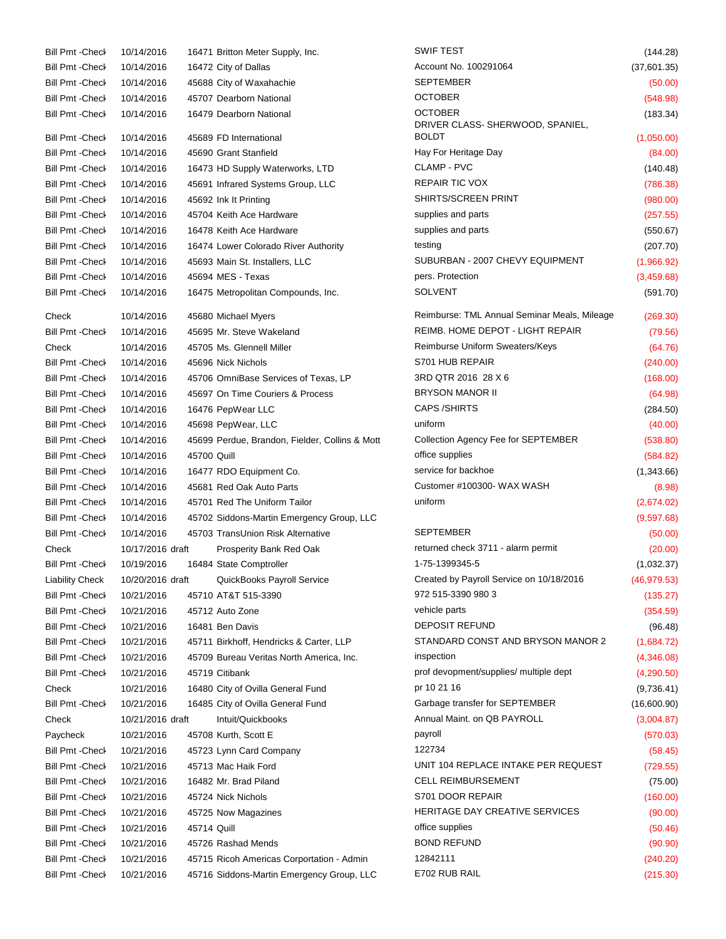| <b>Bill Pmt - Check</b> | 10/14/2016       |             | 16471 Britton Meter Supply, Inc.               | SWIF TEST                                    | (144.28)     |
|-------------------------|------------------|-------------|------------------------------------------------|----------------------------------------------|--------------|
| <b>Bill Pmt - Check</b> | 10/14/2016       |             | 16472 City of Dallas                           | Account No. 100291064                        | (37,601.35)  |
| <b>Bill Pmt - Check</b> | 10/14/2016       |             | 45688 City of Waxahachie                       | <b>SEPTEMBER</b>                             | (50.00)      |
| <b>Bill Pmt -Check</b>  | 10/14/2016       |             | 45707 Dearborn National                        | <b>OCTOBER</b>                               | (548.98)     |
| <b>Bill Pmt -Check</b>  | 10/14/2016       |             | 16479 Dearborn National                        | <b>OCTOBER</b>                               | (183.34)     |
|                         |                  |             |                                                | DRIVER CLASS- SHERWOOD, SPANIEL,             |              |
| <b>Bill Pmt -Check</b>  | 10/14/2016       |             | 45689 FD International                         | <b>BOLDT</b>                                 | (1,050.00)   |
| <b>Bill Pmt - Check</b> | 10/14/2016       |             | 45690 Grant Stanfield                          | Hay For Heritage Day                         | (84.00)      |
| <b>Bill Pmt - Check</b> | 10/14/2016       |             | 16473 HD Supply Waterworks, LTD                | CLAMP - PVC                                  | (140.48)     |
| <b>Bill Pmt -Check</b>  | 10/14/2016       |             | 45691 Infrared Systems Group, LLC              | <b>REPAIR TIC VOX</b>                        | (786.38)     |
| <b>Bill Pmt -Check</b>  | 10/14/2016       |             | 45692 Ink It Printing                          | SHIRTS/SCREEN PRINT                          | (980.00)     |
| <b>Bill Pmt - Check</b> | 10/14/2016       |             | 45704 Keith Ace Hardware                       | supplies and parts                           | (257.55)     |
| <b>Bill Pmt - Check</b> | 10/14/2016       |             | 16478 Keith Ace Hardware                       | supplies and parts                           | (550.67)     |
| <b>Bill Pmt -Check</b>  | 10/14/2016       |             | 16474 Lower Colorado River Authority           | testing                                      | (207.70)     |
| <b>Bill Pmt -Check</b>  | 10/14/2016       |             | 45693 Main St. Installers, LLC                 | SUBURBAN - 2007 CHEVY EQUIPMENT              | (1,966.92)   |
| <b>Bill Pmt -Check</b>  | 10/14/2016       |             | 45694 MES - Texas                              | pers. Protection                             | (3,459.68)   |
| <b>Bill Pmt -Check</b>  | 10/14/2016       |             | 16475 Metropolitan Compounds, Inc.             | <b>SOLVENT</b>                               | (591.70)     |
| Check                   | 10/14/2016       |             | 45680 Michael Myers                            | Reimburse: TML Annual Seminar Meals, Mileage | (269.30)     |
| <b>Bill Pmt -Check</b>  | 10/14/2016       |             | 45695 Mr. Steve Wakeland                       | REIMB. HOME DEPOT - LIGHT REPAIR             | (79.56)      |
| Check                   | 10/14/2016       |             | 45705 Ms. Glennell Miller                      | Reimburse Uniform Sweaters/Keys              | (64.76)      |
| <b>Bill Pmt - Check</b> | 10/14/2016       |             | 45696 Nick Nichols                             | S701 HUB REPAIR                              | (240.00)     |
| <b>Bill Pmt - Check</b> | 10/14/2016       |             | 45706 OmniBase Services of Texas, LP           | 3RD QTR 2016 28 X 6                          | (168.00)     |
| <b>Bill Pmt - Check</b> | 10/14/2016       |             | 45697 On Time Couriers & Process               | <b>BRYSON MANOR II</b>                       | (64.98)      |
| <b>Bill Pmt - Check</b> | 10/14/2016       |             | 16476 PepWear LLC                              | <b>CAPS /SHIRTS</b>                          | (284.50)     |
| <b>Bill Pmt - Check</b> | 10/14/2016       |             | 45698 PepWear, LLC                             | uniform                                      | (40.00)      |
| <b>Bill Pmt - Check</b> | 10/14/2016       |             | 45699 Perdue, Brandon, Fielder, Collins & Mott | Collection Agency Fee for SEPTEMBER          | (538.80)     |
| <b>Bill Pmt -Check</b>  | 10/14/2016       | 45700 Quill |                                                | office supplies                              | (584.82)     |
| <b>Bill Pmt -Check</b>  | 10/14/2016       |             | 16477 RDO Equipment Co.                        | service for backhoe                          | (1,343.66)   |
| <b>Bill Pmt - Check</b> | 10/14/2016       |             | 45681 Red Oak Auto Parts                       | Customer #100300- WAX WASH                   | (8.98)       |
| <b>Bill Pmt -Check</b>  | 10/14/2016       |             | 45701 Red The Uniform Tailor                   | uniform                                      | (2,674.02)   |
| <b>Bill Pmt -Check</b>  | 10/14/2016       |             | 45702 Siddons-Martin Emergency Group, LLC      |                                              | (9,597.68)   |
| <b>Bill Pmt -Check</b>  | 10/14/2016       |             | 45703 TransUnion Risk Alternative              | <b>SEPTEMBER</b>                             | (50.00)      |
| Check                   | 10/17/2016 draft |             | Prosperity Bank Red Oak                        | returned check 3711 - alarm permit           | (20.00)      |
| Bill Pmt - Check        | 10/19/2016       |             | 16484 State Comptroller                        | 1-75-1399345-5                               | (1,032.37)   |
| <b>Liability Check</b>  | 10/20/2016 draft |             | QuickBooks Payroll Service                     | Created by Payroll Service on 10/18/2016     | (46, 979.53) |
| <b>Bill Pmt - Check</b> | 10/21/2016       |             | 45710 AT&T 515-3390                            | 972 515-3390 980 3                           | (135.27)     |
| <b>Bill Pmt -Check</b>  | 10/21/2016       |             | 45712 Auto Zone                                | vehicle parts                                | (354.59)     |
| <b>Bill Pmt -Check</b>  | 10/21/2016       |             | 16481 Ben Davis                                | <b>DEPOSIT REFUND</b>                        | (96.48)      |
| <b>Bill Pmt -Check</b>  | 10/21/2016       |             | 45711 Birkhoff, Hendricks & Carter, LLP        | STANDARD CONST AND BRYSON MANOR 2            | (1,684.72)   |
| <b>Bill Pmt -Check</b>  | 10/21/2016       |             | 45709 Bureau Veritas North America, Inc.       | inspection                                   | (4,346.08)   |
| <b>Bill Pmt -Check</b>  | 10/21/2016       |             |                                                | prof devopment/supplies/ multiple dept       |              |
|                         |                  |             | 45719 Citibank                                 | pr 10 21 16                                  | (4,290.50)   |
| Check                   | 10/21/2016       |             | 16480 City of Ovilla General Fund              |                                              | (9,736.41)   |
| <b>Bill Pmt -Check</b>  | 10/21/2016       |             | 16485 City of Ovilla General Fund              | Garbage transfer for SEPTEMBER               | (16,600.90)  |
| Check                   | 10/21/2016 draft |             | Intuit/Quickbooks                              | Annual Maint. on QB PAYROLL                  | (3,004.87)   |
| Paycheck                | 10/21/2016       |             | 45708 Kurth, Scott E                           | payroll                                      | (570.03)     |
| <b>Bill Pmt -Check</b>  | 10/21/2016       |             | 45723 Lynn Card Company                        | 122734                                       | (58.45)      |
| <b>Bill Pmt -Check</b>  | 10/21/2016       |             | 45713 Mac Haik Ford                            | UNIT 104 REPLACE INTAKE PER REQUEST          | (729.55)     |
| <b>Bill Pmt -Check</b>  | 10/21/2016       |             | 16482 Mr. Brad Piland                          | <b>CELL REIMBURSEMENT</b>                    | (75.00)      |
| <b>Bill Pmt -Check</b>  | 10/21/2016       |             | 45724 Nick Nichols                             | S701 DOOR REPAIR                             | (160.00)     |
| <b>Bill Pmt -Check</b>  | 10/21/2016       |             | 45725 Now Magazines                            | HERITAGE DAY CREATIVE SERVICES               | (90.00)      |
| Bill Pmt - Check        | 10/21/2016       | 45714 Quill |                                                | office supplies                              | (50.46)      |
| <b>Bill Pmt -Check</b>  | 10/21/2016       |             | 45726 Rashad Mends                             | <b>BOND REFUND</b>                           | (90.90)      |
| <b>Bill Pmt -Check</b>  | 10/21/2016       |             | 45715 Ricoh Americas Corportation - Admin      | 12842111                                     | (240.20)     |
| <b>Bill Pmt -Check</b>  | 10/21/2016       |             | 45716 Siddons-Martin Emergency Group, LLC      | E702 RUB RAIL                                | (215.30)     |

| SWIF TEST                                          | (144.28)     |
|----------------------------------------------------|--------------|
| Account No. 100291064                              | (37,601.35)  |
| SEPTEMBER                                          | (50.00)      |
| OCTOBER                                            | (548.98)     |
| <b>OCTOBER</b><br>DRIVER CLASS- SHERWOOD, SPANIEL, | (183.34)     |
| BOLDT                                              | (1,050.00)   |
| Hay For Heritage Day                               | (84.00)      |
| CLAMP - PVC                                        | (140.48)     |
| REPAIR TIC VOX                                     | (786.38)     |
| SHIRTS/SCREEN PRINT                                | (980.00)     |
| supplies and parts                                 | (257.55)     |
| supplies and parts                                 | (550.67)     |
| testing                                            | (207.70)     |
| SUBURBAN - 2007 CHEVY EQUIPMENT                    | (1,966.92)   |
| pers. Protection                                   | (3,459.68)   |
| SOLVENT                                            | (591.70)     |
| Reimburse: TML Annual Seminar Meals, Mileage       | (269.30)     |
| REIMB. HOME DEPOT - LIGHT REPAIR                   | (79.56)      |
| Reimburse Uniform Sweaters/Keys                    | (64.76)      |
| S701 HUB REPAIR                                    | (240.00)     |
| 3RD QTR 2016 28 X 6                                | (168.00)     |
| BRYSON MANOR II                                    | (64.98)      |
| <b>CAPS /SHIRTS</b>                                | (284.50)     |
| uniform                                            | (40.00)      |
| Collection Agency Fee for SEPTEMBER                | (538.80)     |
| office supplies                                    | (584.82)     |
| service for backhoe                                | (1,343.66)   |
| Customer #100300- WAX WASH                         | (8.98)       |
| uniform                                            | (2,674.02)   |
|                                                    | (9,597.68)   |
| SEPTEMBER                                          | (50.00)      |
| returned check 3711 - alarm permit                 | (20.00)      |
| 1-75-1399345-5                                     | (1,032.37)   |
| Created by Payroll Service on 10/18/2016           | (46, 979.53) |
| 972 515-3390 980 3                                 | (135.27)     |
| vehicle parts                                      | (354.59)     |
| <b>DEPOSIT REFUND</b>                              | (96.48)      |
| STANDARD CONST AND BRYSON MANOR 2                  | (1,684.72)   |
| inspection                                         | (4,346.08)   |
| prof devopment/supplies/ multiple dept             | (4,290.50)   |
| pr 10 21 16                                        | (9,736.41)   |
| Garbage transfer for SEPTEMBER                     | (16,600.90)  |
| Annual Maint. on QB PAYROLL                        | (3,004.87)   |
| payroll                                            | (570.03)     |
| 122734                                             | (58.45)      |
| UNIT 104 REPLACE INTAKE PER REQUEST                | (729.55)     |
| CELL REIMBURSEMENT                                 | (75.00)      |
| S701 DOOR REPAIR                                   | (160.00)     |
| HERITAGE DAY CREATIVE SERVICES                     | (90.00)      |
| office supplies                                    | (50.46)      |
| BOND REFUND                                        | (90.90)      |
| 12842111                                           | (240.20)     |
| E702 RUB RAIL                                      | (215.30)     |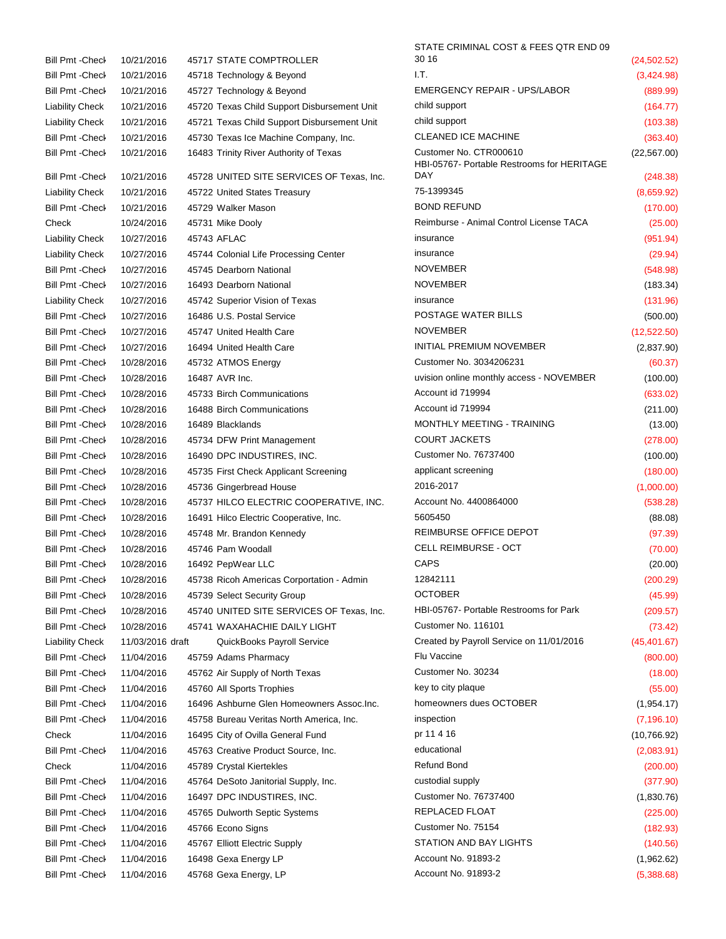| Bill Pmt - Check        | 10/21/2016       | 45717 STATE COMPTROLLER                     | 30 16                                                                | (24, 502.52) |
|-------------------------|------------------|---------------------------------------------|----------------------------------------------------------------------|--------------|
| <b>Bill Pmt - Check</b> | 10/21/2016       | 45718 Technology & Beyond                   | I.T.                                                                 | (3,424.98)   |
| Bill Pmt - Check        | 10/21/2016       | 45727 Technology & Beyond                   | <b>EMERGENCY REPAIR - UPS/LABOR</b>                                  | (889.99)     |
| <b>Liability Check</b>  | 10/21/2016       | 45720 Texas Child Support Disbursement Unit | child support                                                        | (164.77)     |
| <b>Liability Check</b>  | 10/21/2016       | 45721 Texas Child Support Disbursement Unit | child support                                                        | (103.38)     |
| Bill Pmt - Check        | 10/21/2016       | 45730 Texas Ice Machine Company, Inc.       | <b>CLEANED ICE MACHINE</b>                                           | (363.40)     |
| Bill Pmt -Check         | 10/21/2016       | 16483 Trinity River Authority of Texas      | Customer No. CTR000610<br>HBI-05767- Portable Restrooms for HERITAGE | (22, 567.00) |
| <b>Bill Pmt -Check</b>  | 10/21/2016       | 45728 UNITED SITE SERVICES OF Texas, Inc.   | <b>DAY</b>                                                           | (248.38)     |
| <b>Liability Check</b>  | 10/21/2016       | 45722 United States Treasury                | 75-1399345                                                           | (8,659.92)   |
| <b>Bill Pmt - Check</b> | 10/21/2016       | 45729 Walker Mason                          | <b>BOND REFUND</b>                                                   | (170.00)     |
| Check                   | 10/24/2016       | 45731 Mike Dooly                            | Reimburse - Animal Control License TACA                              | (25.00)      |
| <b>Liability Check</b>  | 10/27/2016       | 45743 AFLAC                                 | insurance                                                            | (951.94)     |
| <b>Liability Check</b>  | 10/27/2016       | 45744 Colonial Life Processing Center       | insurance                                                            | (29.94)      |
| <b>Bill Pmt - Check</b> | 10/27/2016       | 45745 Dearborn National                     | <b>NOVEMBER</b>                                                      | (548.98)     |
| Bill Pmt -Check         | 10/27/2016       | 16493 Dearborn National                     | <b>NOVEMBER</b>                                                      | (183.34)     |
| <b>Liability Check</b>  | 10/27/2016       | 45742 Superior Vision of Texas              | insurance                                                            | (131.96)     |
| Bill Pmt - Check        | 10/27/2016       | 16486 U.S. Postal Service                   | POSTAGE WATER BILLS                                                  | (500.00)     |
| <b>Bill Pmt - Check</b> | 10/27/2016       | 45747 United Health Care                    | <b>NOVEMBER</b>                                                      | (12, 522.50) |
| Bill Pmt - Check        | 10/27/2016       | 16494 United Health Care                    | <b>INITIAL PREMIUM NOVEMBER</b>                                      | (2,837.90)   |
| <b>Bill Pmt -Check</b>  | 10/28/2016       | 45732 ATMOS Energy                          | Customer No. 3034206231                                              | (60.37)      |
| <b>Bill Pmt - Check</b> | 10/28/2016       | 16487 AVR Inc.                              | uvision online monthly access - NOVEMBER                             | (100.00)     |
| <b>Bill Pmt -Check</b>  | 10/28/2016       | 45733 Birch Communications                  | Account id 719994                                                    | (633.02)     |
| Bill Pmt - Check        | 10/28/2016       | 16488 Birch Communications                  | Account id 719994                                                    | (211.00)     |
| <b>Bill Pmt - Check</b> | 10/28/2016       | 16489 Blacklands                            | MONTHLY MEETING - TRAINING                                           | (13.00)      |
| <b>Bill Pmt - Check</b> | 10/28/2016       | 45734 DFW Print Management                  | <b>COURT JACKETS</b>                                                 | (278.00)     |
| Bill Pmt - Check        | 10/28/2016       | 16490 DPC INDUSTIRES, INC.                  | Customer No. 76737400                                                | (100.00)     |
|                         |                  |                                             | applicant screening                                                  |              |
| <b>Bill Pmt -Check</b>  | 10/28/2016       | 45735 First Check Applicant Screening       | 2016-2017                                                            | (180.00)     |
| <b>Bill Pmt - Check</b> | 10/28/2016       | 45736 Gingerbread House                     | Account No. 4400864000                                               | (1,000.00)   |
| Bill Pmt -Check         | 10/28/2016       | 45737 HILCO ELECTRIC COOPERATIVE, INC.      | 5605450                                                              | (538.28)     |
| <b>Bill Pmt -Check</b>  | 10/28/2016       | 16491 Hilco Electric Cooperative, Inc.      | REIMBURSE OFFICE DEPOT                                               | (88.08)      |
| <b>Bill Pmt - Check</b> | 10/28/2016       | 45748 Mr. Brandon Kennedy                   |                                                                      | (97.39)      |
| <b>Bill Pmt - Check</b> | 10/28/2016       | 45746 Pam Woodall                           | <b>CELL REIMBURSE - OCT</b><br><b>CAPS</b>                           | (70.00)      |
| Bill Pmt - Check        | 10/28/2016       | 16492 PepWear LLC                           |                                                                      | (20.00)      |
| Bill Pmt -Check         | 10/28/2016       | 45738 Ricoh Americas Corportation - Admin   | 12842111                                                             | (200.29)     |
| Bill Pmt -Check         | 10/28/2016       | 45739 Select Security Group                 | <b>OCTOBER</b>                                                       | (45.99)      |
| <b>Bill Pmt -Check</b>  | 10/28/2016       | 45740 UNITED SITE SERVICES OF Texas, Inc.   | HBI-05767- Portable Restrooms for Park                               | (209.57)     |
| <b>Bill Pmt - Check</b> | 10/28/2016       | 45741 WAXAHACHIE DAILY LIGHT                | Customer No. 116101                                                  | (73.42)      |
| <b>Liability Check</b>  | 11/03/2016 draft | QuickBooks Payroll Service                  | Created by Payroll Service on 11/01/2016                             | (45, 401.67) |
| <b>Bill Pmt -Check</b>  | 11/04/2016       | 45759 Adams Pharmacy                        | Flu Vaccine                                                          | (800.00)     |
| Bill Pmt -Check         | 11/04/2016       | 45762 Air Supply of North Texas             | Customer No. 30234                                                   | (18.00)      |
| <b>Bill Pmt -Check</b>  | 11/04/2016       | 45760 All Sports Trophies                   | key to city plaque                                                   | (55.00)      |
| Bill Pmt - Check        | 11/04/2016       | 16496 Ashburne Glen Homeowners Assoc. Inc.  | homeowners dues OCTOBER                                              | (1,954.17)   |
| Bill Pmt -Check         | 11/04/2016       | 45758 Bureau Veritas North America, Inc.    | inspection                                                           | (7, 196.10)  |
| Check                   | 11/04/2016       | 16495 City of Ovilla General Fund           | pr 11 4 16                                                           | (10,766.92)  |
| Bill Pmt -Check         | 11/04/2016       | 45763 Creative Product Source, Inc.         | educational                                                          | (2,083.91)   |
| Check                   | 11/04/2016       | 45789 Crystal Kiertekles                    | <b>Refund Bond</b>                                                   | (200.00)     |
| Bill Pmt - Check        | 11/04/2016       | 45764 DeSoto Janitorial Supply, Inc.        | custodial supply                                                     | (377.90)     |
| <b>Bill Pmt -Check</b>  | 11/04/2016       | 16497 DPC INDUSTIRES, INC.                  | Customer No. 76737400                                                | (1,830.76)   |
| <b>Bill Pmt -Check</b>  | 11/04/2016       | 45765 Dulworth Septic Systems               | REPLACED FLOAT                                                       | (225.00)     |
| <b>Bill Pmt -Check</b>  | 11/04/2016       | 45766 Econo Signs                           | Customer No. 75154                                                   | (182.93)     |
| Bill Pmt -Check         | 11/04/2016       | 45767 Elliott Electric Supply               | STATION AND BAY LIGHTS                                               | (140.56)     |
| Bill Pmt - Check        | 11/04/2016       | 16498 Gexa Energy LP                        | Account No. 91893-2                                                  | (1,962.62)   |
| Bill Pmt - Check        | 11/04/2016       | 45768 Gexa Energy, LP                       | Account No. 91893-2                                                  | (5,388.68)   |

STATE CRIMINAL COST & FEES QTR END 09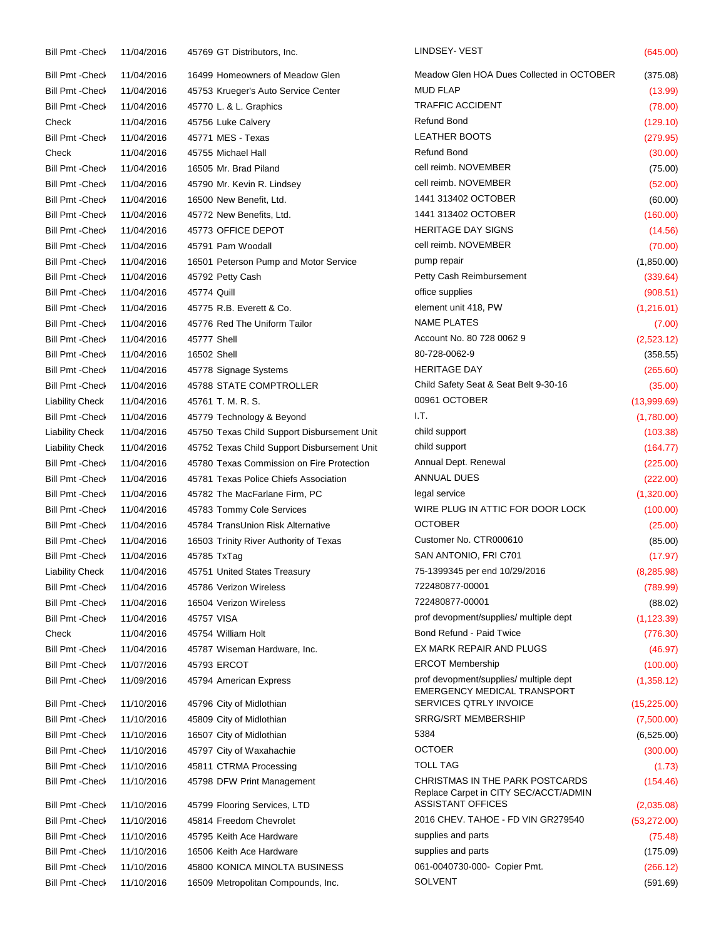| <b>Bill Pmt - Check</b> | 11/04/2016 | 45769 GT Distributors, Inc.                 | LINDSEY- VEST                                                                | (645.00)     |
|-------------------------|------------|---------------------------------------------|------------------------------------------------------------------------------|--------------|
| <b>Bill Pmt -Check</b>  | 11/04/2016 | 16499 Homeowners of Meadow Glen             | Meadow Glen HOA Dues Collected in OCTOBER                                    | (375.08)     |
| <b>Bill Pmt -Check</b>  | 11/04/2016 | 45753 Krueger's Auto Service Center         | <b>MUD FLAP</b>                                                              | (13.99)      |
| <b>Bill Pmt - Check</b> | 11/04/2016 | 45770 L. & L. Graphics                      | <b>TRAFFIC ACCIDENT</b>                                                      | (78.00)      |
| Check                   | 11/04/2016 | 45756 Luke Calvery                          | <b>Refund Bond</b>                                                           | (129.10)     |
| <b>Bill Pmt -Check</b>  | 11/04/2016 | 45771 MES - Texas                           | <b>LEATHER BOOTS</b>                                                         | (279.95)     |
| Check                   | 11/04/2016 | 45755 Michael Hall                          | Refund Bond                                                                  | (30.00)      |
| <b>Bill Pmt -Check</b>  | 11/04/2016 | 16505 Mr. Brad Piland                       | cell reimb. NOVEMBER                                                         | (75.00)      |
| <b>Bill Pmt -Check</b>  | 11/04/2016 | 45790 Mr. Kevin R. Lindsey                  | cell reimb. NOVEMBER                                                         | (52.00)      |
| <b>Bill Pmt -Check</b>  | 11/04/2016 | 16500 New Benefit, Ltd.                     | 1441 313402 OCTOBER                                                          | (60.00)      |
| <b>Bill Pmt - Check</b> | 11/04/2016 | 45772 New Benefits, Ltd.                    | 1441 313402 OCTOBER                                                          | (160.00)     |
| <b>Bill Pmt - Check</b> | 11/04/2016 | 45773 OFFICE DEPOT                          | <b>HERITAGE DAY SIGNS</b>                                                    | (14.56)      |
| <b>Bill Pmt -Check</b>  | 11/04/2016 | 45791 Pam Woodall                           | cell reimb. NOVEMBER                                                         | (70.00)      |
| <b>Bill Pmt -Check</b>  | 11/04/2016 | 16501 Peterson Pump and Motor Service       | pump repair                                                                  | (1,850.00)   |
| <b>Bill Pmt - Check</b> | 11/04/2016 | 45792 Petty Cash                            | Petty Cash Reimbursement                                                     | (339.64)     |
| <b>Bill Pmt - Check</b> | 11/04/2016 | 45774 Quill                                 | office supplies                                                              | (908.51)     |
| <b>Bill Pmt -Check</b>  | 11/04/2016 | 45775 R.B. Everett & Co.                    | element unit 418, PW                                                         | (1,216.01)   |
| <b>Bill Pmt - Check</b> | 11/04/2016 | 45776 Red The Uniform Tailor                | <b>NAME PLATES</b>                                                           | (7.00)       |
| <b>Bill Pmt -Check</b>  | 11/04/2016 | 45777 Shell                                 | Account No. 80 728 0062 9                                                    | (2,523.12)   |
| <b>Bill Pmt -Check</b>  | 11/04/2016 | 16502 Shell                                 | 80-728-0062-9                                                                | (358.55)     |
| <b>Bill Pmt -Check</b>  | 11/04/2016 | 45778 Signage Systems                       | <b>HERITAGE DAY</b>                                                          | (265.60)     |
| <b>Bill Pmt -Check</b>  | 11/04/2016 | 45788 STATE COMPTROLLER                     | Child Safety Seat & Seat Belt 9-30-16                                        | (35.00)      |
| <b>Liability Check</b>  | 11/04/2016 | 45761 T. M. R. S.                           | 00961 OCTOBER                                                                | (13,999.69)  |
| <b>Bill Pmt -Check</b>  | 11/04/2016 | 45779 Technology & Beyond                   | I.T.                                                                         | (1,780.00)   |
| <b>Liability Check</b>  | 11/04/2016 | 45750 Texas Child Support Disbursement Unit | child support                                                                | (103.38)     |
| <b>Liability Check</b>  | 11/04/2016 | 45752 Texas Child Support Disbursement Unit | child support                                                                | (164.77)     |
| <b>Bill Pmt -Check</b>  | 11/04/2016 | 45780 Texas Commission on Fire Protection   | Annual Dept. Renewal                                                         | (225.00)     |
| <b>Bill Pmt - Check</b> | 11/04/2016 | 45781 Texas Police Chiefs Association       | ANNUAL DUES                                                                  | (222.00)     |
| <b>Bill Pmt - Check</b> | 11/04/2016 | 45782 The MacFarlane Firm, PC               | legal service                                                                | (1,320.00)   |
| <b>Bill Pmt -Check</b>  | 11/04/2016 | 45783 Tommy Cole Services                   | WIRE PLUG IN ATTIC FOR DOOR LOCK                                             | (100.00)     |
| <b>Bill Pmt -Check</b>  | 11/04/2016 | 45784 TransUnion Risk Alternative           | <b>OCTOBER</b>                                                               | (25.00)      |
| <b>Bill Pmt -Check</b>  | 11/04/2016 | 16503 Trinity River Authority of Texas      | Customer No. CTR000610                                                       | (85.00)      |
| <b>Bill Pmt - Check</b> | 11/04/2016 | 45785 TxTaq                                 | SAN ANTONIO, FRI C701                                                        | (17.97)      |
| <b>Liability Check</b>  | 11/04/2016 | 45751 United States Treasury                | 75-1399345 per end 10/29/2016                                                | (8, 285.98)  |
| Bill Pmt - Check        | 11/04/2016 | 45786 Verizon Wireless                      | 722480877-00001                                                              | (789.99)     |
| <b>Bill Pmt - Check</b> | 11/04/2016 | 16504 Verizon Wireless                      | 722480877-00001                                                              | (88.02)      |
| <b>Bill Pmt - Check</b> | 11/04/2016 | 45757 VISA                                  | prof devopment/supplies/ multiple dept                                       | (1, 123.39)  |
| Check                   | 11/04/2016 | 45754 William Holt                          | Bond Refund - Paid Twice                                                     | (776.30)     |
| <b>Bill Pmt -Check</b>  | 11/04/2016 | 45787 Wiseman Hardware, Inc.                | EX MARK REPAIR AND PLUGS                                                     | (46.97)      |
| Bill Pmt - Check        | 11/07/2016 | 45793 ERCOT                                 | <b>ERCOT Membership</b>                                                      | (100.00)     |
| <b>Bill Pmt -Check</b>  | 11/09/2016 | 45794 American Express                      | prof devopment/supplies/ multiple dept<br><b>EMERGENCY MEDICAL TRANSPORT</b> | (1,358.12)   |
| <b>Bill Pmt -Check</b>  | 11/10/2016 | 45796 City of Midlothian                    | SERVICES QTRLY INVOICE                                                       | (15, 225.00) |
| <b>Bill Pmt - Check</b> | 11/10/2016 | 45809 City of Midlothian                    | <b>SRRG/SRT MEMBERSHIP</b>                                                   | (7,500.00)   |
| <b>Bill Pmt -Check</b>  | 11/10/2016 | 16507 City of Midlothian                    | 5384                                                                         | (6,525.00)   |
| Bill Pmt - Check        | 11/10/2016 | 45797 City of Waxahachie                    | <b>OCTOER</b>                                                                | (300.00)     |
| <b>Bill Pmt -Check</b>  | 11/10/2016 | 45811 CTRMA Processing                      | <b>TOLL TAG</b>                                                              | (1.73)       |
| <b>Bill Pmt -Check</b>  | 11/10/2016 | 45798 DFW Print Management                  | CHRISTMAS IN THE PARK POSTCARDS<br>Replace Carpet in CITY SEC/ACCT/ADMIN     | (154.46)     |
| <b>Bill Pmt - Check</b> | 11/10/2016 | 45799 Flooring Services, LTD                | <b>ASSISTANT OFFICES</b>                                                     | (2,035.08)   |
| <b>Bill Pmt -Check</b>  | 11/10/2016 | 45814 Freedom Chevrolet                     | 2016 CHEV. TAHOE - FD VIN GR279540                                           | (53, 272.00) |
| <b>Bill Pmt -Check</b>  | 11/10/2016 | 45795 Keith Ace Hardware                    | supplies and parts                                                           | (75.48)      |
| <b>Bill Pmt -Check</b>  | 11/10/2016 | 16506 Keith Ace Hardware                    | supplies and parts                                                           | (175.09)     |
| Bill Pmt - Check        | 11/10/2016 | 45800 KONICA MINOLTA BUSINESS               | 061-0040730-000- Copier Pmt.                                                 | (266.12)     |
| <b>Bill Pmt -Check</b>  | 11/10/2016 | 16509 Metropolitan Compounds, Inc.          | <b>SOLVENT</b>                                                               | (591.69)     |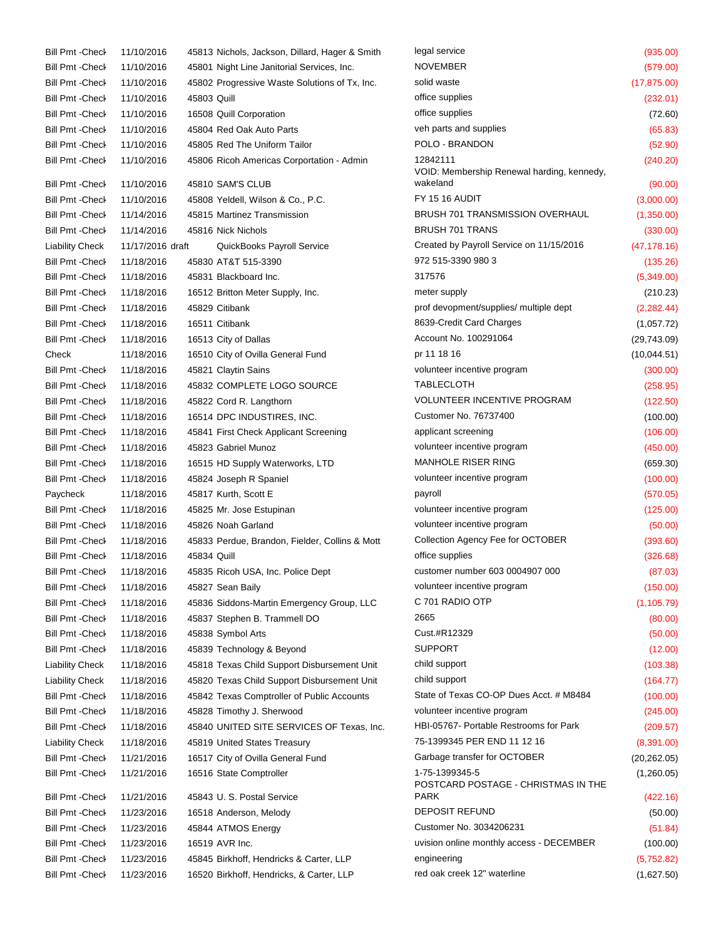| Bill Pmt - Check        | 11/10/2016       |             | 45813 Nichols, Jackson, Dillard, Hager & Smith | legal service                                          | (935.00)     |
|-------------------------|------------------|-------------|------------------------------------------------|--------------------------------------------------------|--------------|
| Bill Pmt - Check        | 11/10/2016       |             | 45801 Night Line Janitorial Services, Inc.     | <b>NOVEMBER</b>                                        | (579.00)     |
| <b>Bill Pmt -Check</b>  | 11/10/2016       |             | 45802 Progressive Waste Solutions of Tx, Inc.  | solid waste                                            | (17, 875.00) |
| Bill Pmt - Check        | 11/10/2016       | 45803 Quill |                                                | office supplies                                        | (232.01)     |
| Bill Pmt - Check        | 11/10/2016       |             | 16508 Quill Corporation                        | office supplies                                        | (72.60)      |
| <b>Bill Pmt -Check</b>  | 11/10/2016       |             | 45804 Red Oak Auto Parts                       | veh parts and supplies                                 | (65.83)      |
| <b>Bill Pmt - Check</b> | 11/10/2016       |             | 45805 Red The Uniform Tailor                   | POLO - BRANDON                                         | (52.90)      |
| Bill Pmt - Check        | 11/10/2016       |             | 45806 Ricoh Americas Corportation - Admin      | 12842111<br>VOID: Membership Renewal harding, kennedy, | (240.20)     |
| <b>Bill Pmt -Check</b>  | 11/10/2016       |             | 45810 SAM'S CLUB                               | wakeland                                               | (90.00)      |
| <b>Bill Pmt -Check</b>  | 11/10/2016       |             | 45808 Yeldell, Wilson & Co., P.C.              | <b>FY 15 16 AUDIT</b>                                  | (3,000.00)   |
| Bill Pmt - Check        | 11/14/2016       |             | 45815 Martinez Transmission                    | <b>BRUSH 701 TRANSMISSION OVERHAUL</b>                 | (1,350.00)   |
| <b>Bill Pmt - Check</b> | 11/14/2016       |             | 45816 Nick Nichols                             | <b>BRUSH 701 TRANS</b>                                 | (330.00)     |
| <b>Liability Check</b>  | 11/17/2016 draft |             | QuickBooks Payroll Service                     | Created by Payroll Service on 11/15/2016               | (47, 178.16) |
| <b>Bill Pmt -Check</b>  | 11/18/2016       |             | 45830 AT&T 515-3390                            | 972 515-3390 980 3                                     | (135.26)     |
| <b>Bill Pmt -Check</b>  | 11/18/2016       |             | 45831 Blackboard Inc.                          | 317576                                                 | (5,349.00)   |
| <b>Bill Pmt -Check</b>  | 11/18/2016       |             | 16512 Britton Meter Supply, Inc.               | meter supply                                           | (210.23)     |
| <b>Bill Pmt - Check</b> | 11/18/2016       |             | 45829 Citibank                                 | prof devopment/supplies/ multiple dept                 | (2,282.44)   |
| <b>Bill Pmt -Check</b>  | 11/18/2016       |             | 16511 Citibank                                 | 8639-Credit Card Charges                               | (1,057.72)   |
| <b>Bill Pmt - Check</b> | 11/18/2016       |             | 16513 City of Dallas                           | Account No. 100291064                                  | (29, 743.09) |
| Check                   | 11/18/2016       |             | 16510 City of Ovilla General Fund              | pr 11 18 16                                            | (10,044.51)  |
|                         |                  |             |                                                | volunteer incentive program                            | (300.00)     |
| <b>Bill Pmt -Check</b>  | 11/18/2016       |             | 45821 Claytin Sains                            | <b>TABLECLOTH</b>                                      |              |
| <b>Bill Pmt -Check</b>  | 11/18/2016       |             | 45832 COMPLETE LOGO SOURCE                     | <b>VOLUNTEER INCENTIVE PROGRAM</b>                     | (258.95)     |
| <b>Bill Pmt - Check</b> | 11/18/2016       |             | 45822 Cord R. Langthorn                        | Customer No. 76737400                                  | (122.50)     |
| <b>Bill Pmt - Check</b> | 11/18/2016       |             | 16514 DPC INDUSTIRES, INC.                     |                                                        | (100.00)     |
| <b>Bill Pmt -Check</b>  | 11/18/2016       |             | 45841 First Check Applicant Screening          | applicant screening                                    | (106.00)     |
| <b>Bill Pmt -Check</b>  | 11/18/2016       |             | 45823 Gabriel Munoz                            | volunteer incentive program                            | (450.00)     |
| <b>Bill Pmt -Check</b>  | 11/18/2016       |             | 16515 HD Supply Waterworks, LTD                | <b>MANHOLE RISER RING</b>                              | (659.30)     |
| <b>Bill Pmt - Check</b> | 11/18/2016       |             | 45824 Joseph R Spaniel                         | volunteer incentive program                            | (100.00)     |
| Paycheck                | 11/18/2016       |             | 45817 Kurth, Scott E                           | payroll                                                | (570.05)     |
| <b>Bill Pmt - Check</b> | 11/18/2016       |             | 45825 Mr. Jose Estupinan                       | volunteer incentive program                            | (125.00)     |
| <b>Bill Pmt -Check</b>  | 11/18/2016       |             | 45826 Noah Garland                             | volunteer incentive program                            | (50.00)      |
| <b>Bill Pmt -Check</b>  | 11/18/2016       |             | 45833 Perdue, Brandon, Fielder, Collins & Mott | Collection Agency Fee for OCTOBER                      | (393.60)     |
| <b>Bill Pmt -Check</b>  | 11/18/2016       | 45834 Quill |                                                | office supplies                                        | (326.68)     |
| Bill Pmt - Check        | 11/18/2016       |             | 45835 Ricoh USA, Inc. Police Dept              | customer number 603 0004907 000                        | (87.03)      |
| Bill Pmt - Check        | 11/18/2016       |             | 45827 Sean Baily                               | volunteer incentive program                            | (150.00)     |
| <b>Bill Pmt - Check</b> | 11/18/2016       |             | 45836 Siddons-Martin Emergency Group, LLC      | C 701 RADIO OTP                                        | (1, 105.79)  |
| <b>Bill Pmt -Check</b>  | 11/18/2016       |             | 45837 Stephen B. Trammell DO                   | 2665                                                   | (80.00)      |
| <b>Bill Pmt -Check</b>  | 11/18/2016       |             | 45838 Symbol Arts                              | Cust.#R12329                                           | (50.00)      |
| <b>Bill Pmt -Check</b>  | 11/18/2016       |             | 45839 Technology & Beyond                      | <b>SUPPORT</b>                                         | (12.00)      |
| <b>Liability Check</b>  | 11/18/2016       |             | 45818 Texas Child Support Disbursement Unit    | child support                                          | (103.38)     |
| <b>Liability Check</b>  | 11/18/2016       |             | 45820 Texas Child Support Disbursement Unit    | child support                                          | (164.77)     |
| <b>Bill Pmt -Check</b>  | 11/18/2016       |             | 45842 Texas Comptroller of Public Accounts     | State of Texas CO-OP Dues Acct. # M8484                | (100.00)     |
| <b>Bill Pmt -Check</b>  | 11/18/2016       |             | 45828 Timothy J. Sherwood                      | volunteer incentive program                            | (245.00)     |
| <b>Bill Pmt -Check</b>  | 11/18/2016       |             | 45840 UNITED SITE SERVICES OF Texas, Inc.      | HBI-05767- Portable Restrooms for Park                 | (209.57)     |
| <b>Liability Check</b>  | 11/18/2016       |             | 45819 United States Treasury                   | 75-1399345 PER END 11 12 16                            | (8,391.00)   |
| <b>Bill Pmt -Check</b>  | 11/21/2016       |             | 16517 City of Ovilla General Fund              | Garbage transfer for OCTOBER                           | (20, 262.05) |
| <b>Bill Pmt -Check</b>  | 11/21/2016       |             | 16516 State Comptroller                        | 1-75-1399345-5<br>POSTCARD POSTAGE - CHRISTMAS IN THE  | (1,260.05)   |
| <b>Bill Pmt -Check</b>  | 11/21/2016       |             | 45843 U.S. Postal Service                      | <b>PARK</b>                                            | (422.16)     |
| <b>Bill Pmt -Check</b>  | 11/23/2016       |             | 16518 Anderson, Melody                         | <b>DEPOSIT REFUND</b>                                  | (50.00)      |
| <b>Bill Pmt -Check</b>  | 11/23/2016       |             | 45844 ATMOS Energy                             | Customer No. 3034206231                                | (51.84)      |
| <b>Bill Pmt -Check</b>  | 11/23/2016       |             | 16519 AVR Inc.                                 | uvision online monthly access - DECEMBER               | (100.00)     |
| Bill Pmt - Check        | 11/23/2016       |             | 45845 Birkhoff, Hendricks & Carter, LLP        | engineering                                            | (5,752.82)   |
| Bill Pmt - Check        | 11/23/2016       |             | 16520 Birkhoff, Hendricks, & Carter, LLP       | red oak creek 12" waterline                            | (1,627.50)   |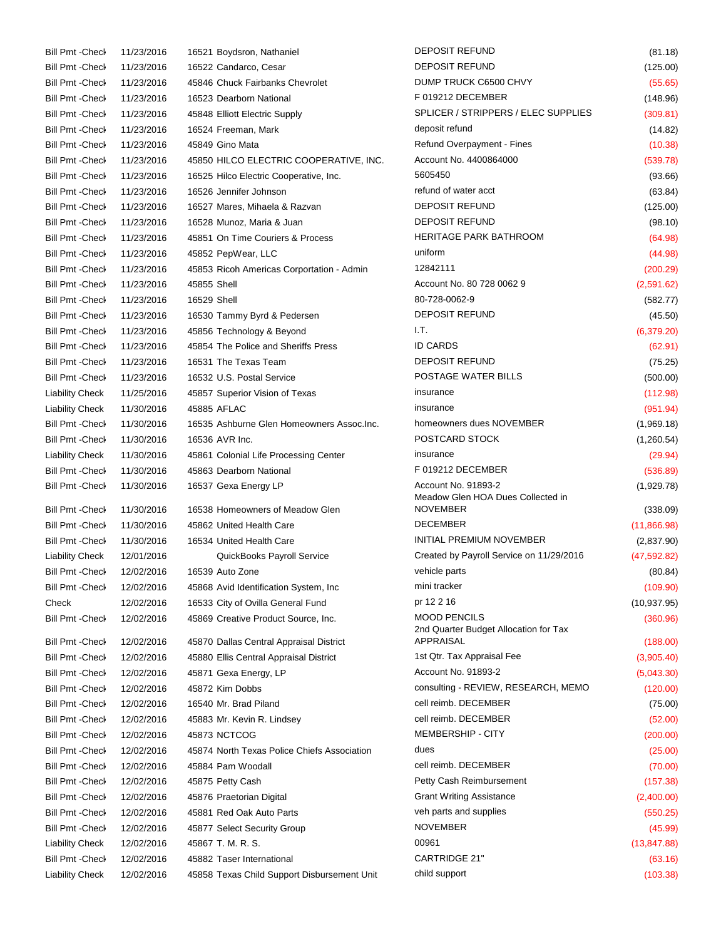| <b>Bill Pmt - Check</b> | 11/23/2016 | 16521 Boydsron, Nathaniel                               | <b>DEPOSIT REFUND</b>                                        | (81.18)      |
|-------------------------|------------|---------------------------------------------------------|--------------------------------------------------------------|--------------|
| <b>Bill Pmt - Check</b> | 11/23/2016 | 16522 Candarco, Cesar                                   | <b>DEPOSIT REFUND</b>                                        | (125.00)     |
| <b>Bill Pmt - Check</b> | 11/23/2016 | 45846 Chuck Fairbanks Chevrolet                         | DUMP TRUCK C6500 CHVY                                        | (55.65)      |
| <b>Bill Pmt -Check</b>  | 11/23/2016 | 16523 Dearborn National                                 | F019212 DECEMBER                                             | (148.96)     |
| <b>Bill Pmt - Check</b> | 11/23/2016 | 45848 Elliott Electric Supply                           | SPLICER / STRIPPERS / ELEC SUPPLIES                          | (309.81)     |
| <b>Bill Pmt - Check</b> | 11/23/2016 | 16524 Freeman, Mark                                     | deposit refund                                               | (14.82)      |
| <b>Bill Pmt -Check</b>  | 11/23/2016 | 45849 Gino Mata                                         | Refund Overpayment - Fines                                   | (10.38)      |
| <b>Bill Pmt -Check</b>  | 11/23/2016 | 45850 HILCO ELECTRIC COOPERATIVE, INC.                  | Account No. 4400864000                                       | (539.78)     |
| <b>Bill Pmt - Check</b> | 11/23/2016 | 16525 Hilco Electric Cooperative, Inc.                  | 5605450                                                      | (93.66)      |
| <b>Bill Pmt - Check</b> | 11/23/2016 | 16526 Jennifer Johnson                                  | refund of water acct                                         | (63.84)      |
| <b>Bill Pmt -Check</b>  | 11/23/2016 | 16527 Mares, Mihaela & Razvan                           | <b>DEPOSIT REFUND</b>                                        | (125.00)     |
| <b>Bill Pmt - Check</b> | 11/23/2016 | 16528 Munoz, Maria & Juan                               | <b>DEPOSIT REFUND</b>                                        | (98.10)      |
| <b>Bill Pmt - Check</b> | 11/23/2016 | 45851 On Time Couriers & Process                        | <b>HERITAGE PARK BATHROOM</b>                                | (64.98)      |
| <b>Bill Pmt - Check</b> | 11/23/2016 | 45852 PepWear, LLC                                      | uniform                                                      | (44.98)      |
| <b>Bill Pmt -Check</b>  | 11/23/2016 | 45853 Ricoh Americas Corportation - Admin               | 12842111                                                     | (200.29)     |
| <b>Bill Pmt -Check</b>  | 11/23/2016 | 45855 Shell                                             | Account No. 80 728 0062 9                                    | (2,591.62)   |
| <b>Bill Pmt -Check</b>  | 11/23/2016 | 16529 Shell                                             | 80-728-0062-9                                                | (582.77)     |
| <b>Bill Pmt -Check</b>  | 11/23/2016 | 16530 Tammy Byrd & Pedersen                             | <b>DEPOSIT REFUND</b>                                        | (45.50)      |
| <b>Bill Pmt - Check</b> | 11/23/2016 | 45856 Technology & Beyond                               | I.T.                                                         | (6,379.20)   |
| <b>Bill Pmt - Check</b> | 11/23/2016 | 45854 The Police and Sheriffs Press                     | <b>ID CARDS</b>                                              | (62.91)      |
| <b>Bill Pmt - Check</b> | 11/23/2016 | 16531 The Texas Team                                    | <b>DEPOSIT REFUND</b>                                        | (75.25)      |
| <b>Bill Pmt - Check</b> | 11/23/2016 | 16532 U.S. Postal Service                               | POSTAGE WATER BILLS                                          | (500.00)     |
| <b>Liability Check</b>  | 11/25/2016 | 45857 Superior Vision of Texas                          | insurance                                                    | (112.98)     |
| <b>Liability Check</b>  | 11/30/2016 | 45885 AFLAC                                             | insurance                                                    | (951.94)     |
| <b>Bill Pmt -Check</b>  | 11/30/2016 | 16535 Ashburne Glen Homeowners Assoc. Inc.              | homeowners dues NOVEMBER                                     | (1,969.18)   |
| <b>Bill Pmt -Check</b>  | 11/30/2016 | 16536 AVR Inc.                                          | POSTCARD STOCK                                               | (1,260.54)   |
| <b>Liability Check</b>  | 11/30/2016 | 45861 Colonial Life Processing Center                   | insurance                                                    | (29.94)      |
|                         |            |                                                         | F 019212 DECEMBER                                            |              |
| <b>Bill Pmt - Check</b> | 11/30/2016 | 45863 Dearborn National                                 | Account No. 91893-2                                          | (536.89)     |
| <b>Bill Pmt -Check</b>  | 11/30/2016 | 16537 Gexa Energy LP<br>16538 Homeowners of Meadow Glen | Meadow Glen HOA Dues Collected in<br><b>NOVEMBER</b>         | (1,929.78)   |
| <b>Bill Pmt - Check</b> | 11/30/2016 |                                                         | <b>DECEMBER</b>                                              | (338.09)     |
| <b>Bill Pmt -Check</b>  | 11/30/2016 | 45862 United Health Care                                |                                                              | (11, 866.98) |
| <b>Bill Pmt - Check</b> | 11/30/2016 | 16534 United Health Care                                | INITIAL PREMIUM NOVEMBER                                     | (2,837.90)   |
| <b>Liability Check</b>  | 12/01/2016 | QuickBooks Payroll Service                              | Created by Payroll Service on 11/29/2016                     | (47, 592.82) |
| <b>Bill Pmt - Check</b> | 12/02/2016 | 16539 Auto Zone                                         | vehicle parts                                                | (80.84)      |
| Bill Pmt - Check        | 12/02/2016 | 45868 Avid Identification System, Inc                   | mini tracker                                                 | (109.90)     |
| Check                   | 12/02/2016 | 16533 City of Ovilla General Fund                       | pr 12 2 16                                                   | (10, 937.95) |
| Bill Pmt - Check        | 12/02/2016 | 45869 Creative Product Source, Inc.                     | <b>MOOD PENCILS</b><br>2nd Quarter Budget Allocation for Tax | (360.96)     |
| <b>Bill Pmt -Check</b>  | 12/02/2016 | 45870 Dallas Central Appraisal District                 | APPRAISAL                                                    | (188.00)     |
| <b>Bill Pmt -Check</b>  | 12/02/2016 | 45880 Ellis Central Appraisal District                  | 1st Qtr. Tax Appraisal Fee                                   | (3,905.40)   |
| <b>Bill Pmt -Check</b>  | 12/02/2016 | 45871 Gexa Energy, LP                                   | Account No. 91893-2                                          | (5,043.30)   |
| <b>Bill Pmt -Check</b>  | 12/02/2016 | 45872 Kim Dobbs                                         | consulting - REVIEW, RESEARCH, MEMO                          | (120.00)     |
| <b>Bill Pmt -Check</b>  | 12/02/2016 | 16540 Mr. Brad Piland                                   | cell reimb. DECEMBER                                         | (75.00)      |
| <b>Bill Pmt -Check</b>  | 12/02/2016 | 45883 Mr. Kevin R. Lindsey                              | cell reimb. DECEMBER                                         | (52.00)      |
| <b>Bill Pmt -Check</b>  | 12/02/2016 | 45873 NCTCOG                                            | MEMBERSHIP - CITY                                            | (200.00)     |
| Bill Pmt - Check        | 12/02/2016 | 45874 North Texas Police Chiefs Association             | dues                                                         | (25.00)      |
| <b>Bill Pmt -Check</b>  | 12/02/2016 | 45884 Pam Woodall                                       | cell reimb. DECEMBER                                         | (70.00)      |
| <b>Bill Pmt -Check</b>  | 12/02/2016 | 45875 Petty Cash                                        | Petty Cash Reimbursement                                     | (157.38)     |
| <b>Bill Pmt -Check</b>  | 12/02/2016 | 45876 Praetorian Digital                                | <b>Grant Writing Assistance</b>                              | (2,400.00)   |
| <b>Bill Pmt -Check</b>  | 12/02/2016 | 45881 Red Oak Auto Parts                                | veh parts and supplies                                       | (550.25)     |
| <b>Bill Pmt -Check</b>  | 12/02/2016 | 45877 Select Security Group                             | <b>NOVEMBER</b>                                              | (45.99)      |
| <b>Liability Check</b>  | 12/02/2016 | 45867 T. M. R. S.                                       | 00961                                                        | (13, 847.88) |
| Bill Pmt - Check        | 12/02/2016 | 45882 Taser International                               | CARTRIDGE 21"                                                | (63.16)      |
| <b>Liability Check</b>  | 12/02/2016 | 45858 Texas Child Support Disbursement Unit             | child support                                                | (103.38)     |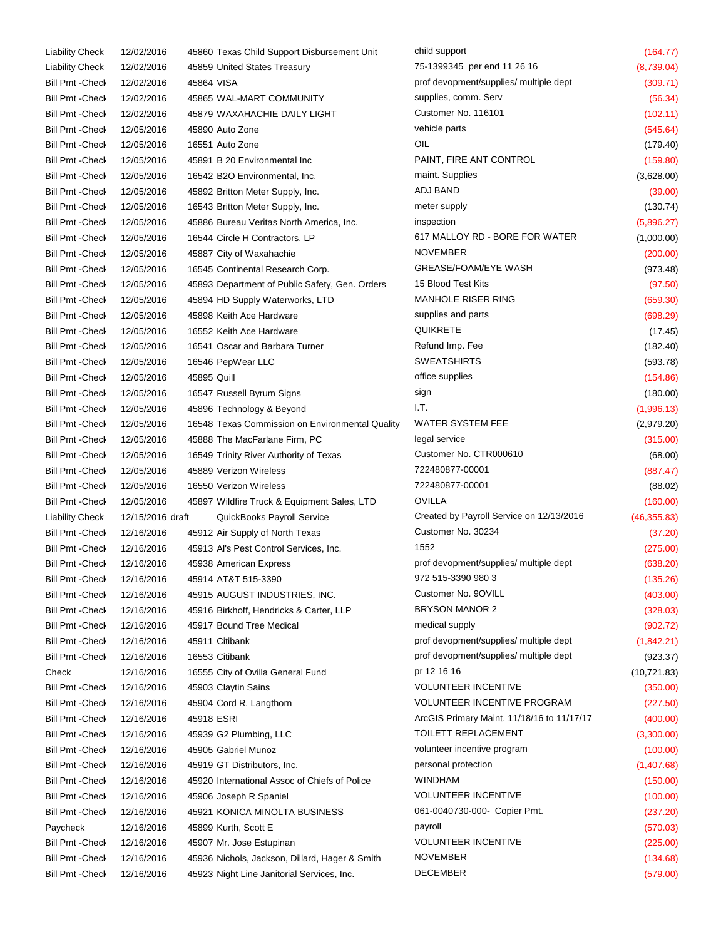| <b>Liability Check</b>  | 12/02/2016       |             | 45860 Texas Child Support Disbursement Unit     | child support                              | (164.77)     |
|-------------------------|------------------|-------------|-------------------------------------------------|--------------------------------------------|--------------|
| <b>Liability Check</b>  | 12/02/2016       |             | 45859 United States Treasury                    | 75-1399345 per end 11 26 16                | (8,739.04)   |
| <b>Bill Pmt -Check</b>  | 12/02/2016       | 45864 VISA  |                                                 | prof devopment/supplies/ multiple dept     | (309.71)     |
| <b>Bill Pmt - Check</b> | 12/02/2016       |             | 45865 WAL-MART COMMUNITY                        | supplies, comm. Serv                       | (56.34)      |
| <b>Bill Pmt - Check</b> | 12/02/2016       |             | 45879 WAXAHACHIE DAILY LIGHT                    | Customer No. 116101                        | (102.11)     |
| Bill Pmt - Check        | 12/05/2016       |             | 45890 Auto Zone                                 | vehicle parts                              | (545.64)     |
| <b>Bill Pmt -Check</b>  | 12/05/2016       |             | 16551 Auto Zone                                 | OIL                                        | (179.40)     |
| <b>Bill Pmt -Check</b>  | 12/05/2016       |             | 45891 B 20 Environmental Inc                    | PAINT, FIRE ANT CONTROL                    | (159.80)     |
| Bill Pmt - Check        | 12/05/2016       |             | 16542 B2O Environmental, Inc.                   | maint. Supplies                            | (3,628.00)   |
| <b>Bill Pmt - Check</b> | 12/05/2016       |             | 45892 Britton Meter Supply, Inc.                | ADJ BAND                                   | (39.00)      |
| <b>Bill Pmt - Check</b> | 12/05/2016       |             | 16543 Britton Meter Supply, Inc.                | meter supply                               | (130.74)     |
| <b>Bill Pmt -Check</b>  | 12/05/2016       |             | 45886 Bureau Veritas North America, Inc.        | inspection                                 | (5,896.27)   |
| <b>Bill Pmt - Check</b> | 12/05/2016       |             | 16544 Circle H Contractors, LP                  | 617 MALLOY RD - BORE FOR WATER             | (1,000.00)   |
| <b>Bill Pmt -Check</b>  | 12/05/2016       |             | 45887 City of Waxahachie                        | <b>NOVEMBER</b>                            | (200.00)     |
| Bill Pmt - Check        | 12/05/2016       |             | 16545 Continental Research Corp.                | <b>GREASE/FOAM/EYE WASH</b>                | (973.48)     |
| Bill Pmt - Check        | 12/05/2016       |             | 45893 Department of Public Safety, Gen. Orders  | 15 Blood Test Kits                         | (97.50)      |
| <b>Bill Pmt -Check</b>  | 12/05/2016       |             | 45894 HD Supply Waterworks, LTD                 | <b>MANHOLE RISER RING</b>                  | (659.30)     |
| <b>Bill Pmt - Check</b> | 12/05/2016       |             | 45898 Keith Ace Hardware                        | supplies and parts                         | (698.29)     |
| Bill Pmt - Check        | 12/05/2016       |             | 16552 Keith Ace Hardware                        | <b>QUIKRETE</b>                            | (17.45)      |
| Bill Pmt - Check        | 12/05/2016       |             | 16541 Oscar and Barbara Turner                  | Refund Imp. Fee                            | (182.40)     |
| <b>Bill Pmt - Check</b> | 12/05/2016       |             | 16546 PepWear LLC                               | <b>SWEATSHIRTS</b>                         | (593.78)     |
| <b>Bill Pmt - Check</b> | 12/05/2016       | 45895 Quill |                                                 | office supplies                            | (154.86)     |
|                         |                  |             |                                                 | sign                                       |              |
| <b>Bill Pmt -Check</b>  | 12/05/2016       |             | 16547 Russell Byrum Signs                       | I.T.                                       | (180.00)     |
| Bill Pmt - Check        | 12/05/2016       |             | 45896 Technology & Beyond                       | <b>WATER SYSTEM FEE</b>                    | (1,996.13)   |
| Bill Pmt - Check        | 12/05/2016       |             | 16548 Texas Commission on Environmental Quality |                                            | (2,979.20)   |
| Bill Pmt - Check        | 12/05/2016       |             | 45888 The MacFarlane Firm, PC                   | legal service                              | (315.00)     |
| Bill Pmt - Check        | 12/05/2016       |             | 16549 Trinity River Authority of Texas          | Customer No. CTR000610                     | (68.00)      |
| <b>Bill Pmt - Check</b> | 12/05/2016       |             | 45889 Verizon Wireless                          | 722480877-00001                            | (887.47)     |
| <b>Bill Pmt - Check</b> | 12/05/2016       |             | 16550 Verizon Wireless                          | 722480877-00001                            | (88.02)      |
| Bill Pmt - Check        | 12/05/2016       |             | 45897 Wildfire Truck & Equipment Sales, LTD     | <b>OVILLA</b>                              | (160.00)     |
| <b>Liability Check</b>  | 12/15/2016 draft |             | QuickBooks Payroll Service                      | Created by Payroll Service on 12/13/2016   | (46, 355.83) |
| <b>Bill Pmt -Check</b>  | 12/16/2016       |             | 45912 Air Supply of North Texas                 | Customer No. 30234                         | (37.20)      |
| <b>Bill Pmt - Check</b> | 12/16/2016       |             | 45913 Al's Pest Control Services, Inc.          | 1552                                       | (275.00)     |
| Bill Pmt - Check        | 12/16/2016       |             | 45938 American Express                          | prof devopment/supplies/ multiple dept     | (638.20)     |
| Bill Pmt - Check        | 12/16/2016       |             | 45914 AT&T 515-3390                             | 972 515-3390 980 3                         | (135.26)     |
| Bill Pmt - Check        | 12/16/2016       |             | 45915 AUGUST INDUSTRIES, INC.                   | Customer No. 90VILL                        | (403.00)     |
| Bill Pmt - Check        | 12/16/2016       |             | 45916 Birkhoff, Hendricks & Carter, LLP         | <b>BRYSON MANOR 2</b>                      | (328.03)     |
| <b>Bill Pmt -Check</b>  | 12/16/2016       |             | 45917 Bound Tree Medical                        | medical supply                             | (902.72)     |
| Bill Pmt - Check        | 12/16/2016       |             | 45911 Citibank                                  | prof devopment/supplies/ multiple dept     | (1,842.21)   |
| Bill Pmt - Check        | 12/16/2016       |             | 16553 Citibank                                  | prof devopment/supplies/ multiple dept     | (923.37)     |
| Check                   | 12/16/2016       |             | 16555 City of Ovilla General Fund               | pr 12 16 16                                | (10, 721.83) |
| Bill Pmt - Check        | 12/16/2016       |             | 45903 Claytin Sains                             | <b>VOLUNTEER INCENTIVE</b>                 | (350.00)     |
| Bill Pmt - Check        | 12/16/2016       |             | 45904 Cord R. Langthorn                         | <b>VOLUNTEER INCENTIVE PROGRAM</b>         | (227.50)     |
| Bill Pmt - Check        | 12/16/2016       |             | 45918 ESRI                                      | ArcGIS Primary Maint. 11/18/16 to 11/17/17 | (400.00)     |
| <b>Bill Pmt -Check</b>  | 12/16/2016       |             | 45939 G2 Plumbing, LLC                          | TOILETT REPLACEMENT                        | (3,300.00)   |
| <b>Bill Pmt -Check</b>  | 12/16/2016       |             | 45905 Gabriel Munoz                             | volunteer incentive program                | (100.00)     |
| <b>Bill Pmt -Check</b>  | 12/16/2016       |             | 45919 GT Distributors, Inc.                     | personal protection                        | (1,407.68)   |
| Bill Pmt - Check        | 12/16/2016       |             | 45920 International Assoc of Chiefs of Police   | <b>WINDHAM</b>                             | (150.00)     |
| <b>Bill Pmt -Check</b>  | 12/16/2016       |             | 45906 Joseph R Spaniel                          | <b>VOLUNTEER INCENTIVE</b>                 | (100.00)     |
| <b>Bill Pmt -Check</b>  | 12/16/2016       |             | 45921 KONICA MINOLTA BUSINESS                   | 061-0040730-000- Copier Pmt.               | (237.20)     |
| Paycheck                | 12/16/2016       |             | 45899 Kurth, Scott E                            | payroll                                    | (570.03)     |
| <b>Bill Pmt - Check</b> | 12/16/2016       |             | 45907 Mr. Jose Estupinan                        | <b>VOLUNTEER INCENTIVE</b>                 | (225.00)     |
| <b>Bill Pmt -Check</b>  | 12/16/2016       |             | 45936 Nichols, Jackson, Dillard, Hager & Smith  | <b>NOVEMBER</b>                            | (134.68)     |
| <b>Bill Pmt -Check</b>  | 12/16/2016       |             | 45923 Night Line Janitorial Services, Inc.      | <b>DECEMBER</b>                            | (579.00)     |
|                         |                  |             |                                                 |                                            |              |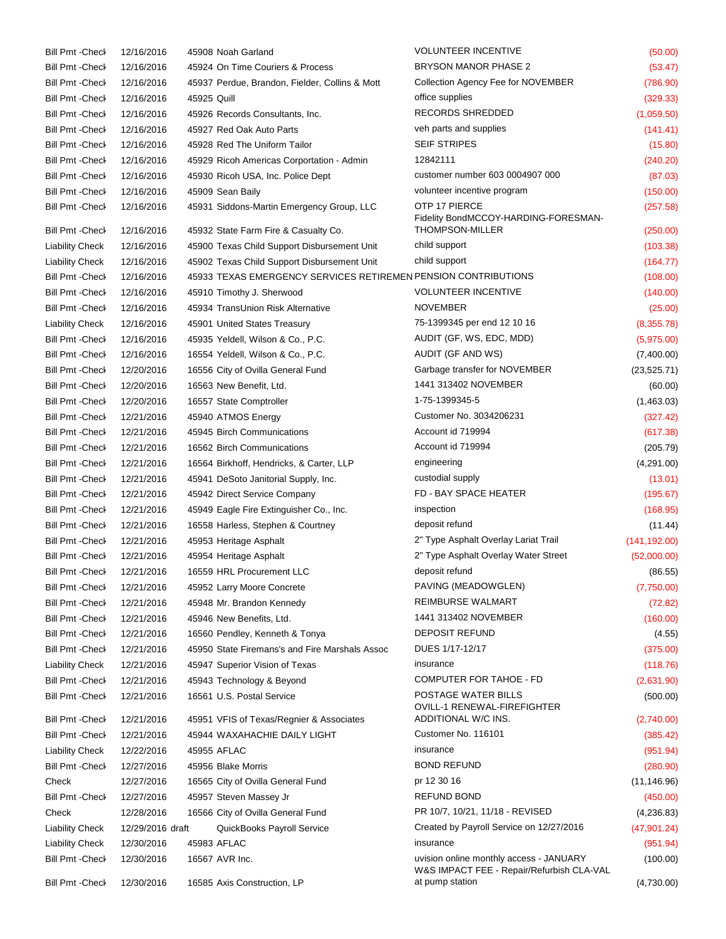| <b>Bill Pmt - Check</b> | 12/16/2016       |             | 45908 Noah Garland                                             | <b>VOLUNTEER INCENTIVE</b>                                                           | (50.00)       |
|-------------------------|------------------|-------------|----------------------------------------------------------------|--------------------------------------------------------------------------------------|---------------|
| <b>Bill Pmt - Check</b> | 12/16/2016       |             | 45924 On Time Couriers & Process                               | <b>BRYSON MANOR PHASE 2</b>                                                          | (53.47)       |
| Bill Pmt - Check        | 12/16/2016       |             | 45937 Perdue, Brandon, Fielder, Collins & Mott                 | Collection Agency Fee for NOVEMBER                                                   | (786.90)      |
| Bill Pmt - Check        | 12/16/2016       | 45925 Quill |                                                                | office supplies                                                                      | (329.33)      |
| Bill Pmt - Check        | 12/16/2016       |             | 45926 Records Consultants, Inc.                                | RECORDS SHREDDED                                                                     | (1,059.50)    |
| <b>Bill Pmt - Check</b> | 12/16/2016       |             | 45927 Red Oak Auto Parts                                       | veh parts and supplies                                                               | (141.41)      |
| Bill Pmt - Check        | 12/16/2016       |             | 45928 Red The Uniform Tailor                                   | <b>SEIF STRIPES</b>                                                                  | (15.80)       |
| Bill Pmt - Check        | 12/16/2016       |             | 45929 Ricoh Americas Corportation - Admin                      | 12842111                                                                             | (240.20)      |
| Bill Pmt - Check        | 12/16/2016       |             | 45930 Ricoh USA, Inc. Police Dept                              | customer number 603 0004907 000                                                      | (87.03)       |
| <b>Bill Pmt - Check</b> | 12/16/2016       |             | 45909 Sean Baily                                               | volunteer incentive program                                                          | (150.00)      |
| Bill Pmt - Check        | 12/16/2016       |             | 45931 Siddons-Martin Emergency Group, LLC                      | OTP 17 PIERCE<br>Fidelity BondMCCOY-HARDING-FORESMAN-                                | (257.58)      |
| <b>Bill Pmt - Check</b> | 12/16/2016       |             | 45932 State Farm Fire & Casualty Co.                           | <b>THOMPSON-MILLER</b>                                                               | (250.00)      |
| <b>Liability Check</b>  | 12/16/2016       |             | 45900 Texas Child Support Disbursement Unit                    | child support                                                                        | (103.38)      |
| <b>Liability Check</b>  | 12/16/2016       |             | 45902 Texas Child Support Disbursement Unit                    | child support                                                                        | (164.77)      |
| <b>Bill Pmt - Check</b> | 12/16/2016       |             | 45933 TEXAS EMERGENCY SERVICES RETIREMEN PENSION CONTRIBUTIONS |                                                                                      | (108.00)      |
| <b>Bill Pmt - Check</b> | 12/16/2016       |             | 45910 Timothy J. Sherwood                                      | <b>VOLUNTEER INCENTIVE</b>                                                           | (140.00)      |
| Bill Pmt - Check        | 12/16/2016       |             | 45934 TransUnion Risk Alternative                              | <b>NOVEMBER</b>                                                                      | (25.00)       |
| <b>Liability Check</b>  | 12/16/2016       |             | 45901 United States Treasury                                   | 75-1399345 per end 12 10 16                                                          | (8,355.78)    |
| Bill Pmt - Check        | 12/16/2016       |             | 45935 Yeldell, Wilson & Co., P.C.                              | AUDIT (GF, WS, EDC, MDD)                                                             | (5,975.00)    |
| Bill Pmt - Check        | 12/16/2016       |             | 16554 Yeldell, Wilson & Co., P.C.                              | AUDIT (GF AND WS)                                                                    | (7,400.00)    |
| Bill Pmt - Check        | 12/20/2016       |             | 16556 City of Ovilla General Fund                              | Garbage transfer for NOVEMBER                                                        | (23, 525.71)  |
| Bill Pmt - Check        | 12/20/2016       |             | 16563 New Benefit, Ltd.                                        | 1441 313402 NOVEMBER                                                                 | (60.00)       |
| <b>Bill Pmt - Check</b> | 12/20/2016       |             | 16557 State Comptroller                                        | 1-75-1399345-5                                                                       | (1,463.03)    |
| Bill Pmt - Check        | 12/21/2016       |             | 45940 ATMOS Energy                                             | Customer No. 3034206231                                                              | (327.42)      |
| Bill Pmt - Check        | 12/21/2016       |             | 45945 Birch Communications                                     | Account id 719994                                                                    | (617.38)      |
| <b>Bill Pmt - Check</b> | 12/21/2016       |             | 16562 Birch Communications                                     | Account id 719994                                                                    | (205.79)      |
| Bill Pmt - Check        | 12/21/2016       |             | 16564 Birkhoff, Hendricks, & Carter, LLP                       | engineering                                                                          | (4,291.00)    |
| <b>Bill Pmt - Check</b> | 12/21/2016       |             | 45941 DeSoto Janitorial Supply, Inc.                           | custodial supply                                                                     | (13.01)       |
| <b>Bill Pmt - Check</b> | 12/21/2016       |             | 45942 Direct Service Company                                   | FD - BAY SPACE HEATER                                                                | (195.67)      |
| Bill Pmt - Check        | 12/21/2016       |             | 45949 Eagle Fire Extinguisher Co., Inc.                        | inspection                                                                           | (168.95)      |
| <b>Bill Pmt - Check</b> | 12/21/2016       |             | 16558 Harless, Stephen & Courtney                              | deposit refund                                                                       | (11.44)       |
| Bill Pmt - Check        | 12/21/2016       |             | 45953 Heritage Asphalt                                         | 2" Type Asphalt Overlay Lariat Trail                                                 | (141, 192.00) |
| <b>Bill Pmt - Check</b> | 12/21/2016       |             | 45954 Heritage Asphalt                                         | 2" Type Asphalt Overlay Water Street                                                 | (52,000.00)   |
| <b>Bill Pmt - Check</b> | 12/21/2016       |             | 16559 HRL Procurement LLC                                      | deposit refund                                                                       | (86.55)       |
| Bill Pmt - Check        | 12/21/2016       |             | 45952 Larry Moore Concrete                                     | PAVING (MEADOWGLEN)                                                                  | (7,750.00)    |
| Bill Pmt - Check        | 12/21/2016       |             | 45948 Mr. Brandon Kennedy                                      | <b>REIMBURSE WALMART</b>                                                             | (72.82)       |
| <b>Bill Pmt - Check</b> | 12/21/2016       |             | 45946 New Benefits, Ltd.                                       | 1441 313402 NOVEMBER                                                                 | (160.00)      |
| Bill Pmt - Check        | 12/21/2016       |             | 16560 Pendley, Kenneth & Tonya                                 | <b>DEPOSIT REFUND</b>                                                                | (4.55)        |
| <b>Bill Pmt - Check</b> | 12/21/2016       |             | 45950 State Firemans's and Fire Marshals Assoc                 | DUES 1/17-12/17                                                                      | (375.00)      |
| <b>Liability Check</b>  | 12/21/2016       |             | 45947 Superior Vision of Texas                                 | insurance                                                                            | (118.76)      |
| Bill Pmt - Check        | 12/21/2016       |             | 45943 Technology & Beyond                                      | <b>COMPUTER FOR TAHOE - FD</b>                                                       | (2,631.90)    |
| <b>Bill Pmt - Check</b> | 12/21/2016       |             | 16561 U.S. Postal Service                                      | POSTAGE WATER BILLS<br>OVILL-1 RENEWAL-FIREFIGHTER                                   | (500.00)      |
| Bill Pmt - Check        | 12/21/2016       |             | 45951 VFIS of Texas/Regnier & Associates                       | ADDITIONAL W/C INS.                                                                  | (2,740.00)    |
| Bill Pmt - Check        | 12/21/2016       |             | 45944 WAXAHACHIE DAILY LIGHT                                   | Customer No. 116101                                                                  | (385.42)      |
| <b>Liability Check</b>  | 12/22/2016       |             | 45955 AFLAC                                                    | insurance                                                                            | (951.94)      |
| Bill Pmt - Check        | 12/27/2016       |             | 45956 Blake Morris                                             | <b>BOND REFUND</b>                                                                   | (280.90)      |
| Check                   | 12/27/2016       |             | 16565 City of Ovilla General Fund                              | pr 12 30 16                                                                          | (11, 146.96)  |
| Bill Pmt - Check        | 12/27/2016       |             | 45957 Steven Massey Jr                                         | <b>REFUND BOND</b>                                                                   | (450.00)      |
| Check                   | 12/28/2016       |             | 16566 City of Ovilla General Fund                              | PR 10/7, 10/21, 11/18 - REVISED                                                      | (4,236.83)    |
| <b>Liability Check</b>  | 12/29/2016 draft |             | QuickBooks Payroll Service                                     | Created by Payroll Service on 12/27/2016                                             | (47, 901.24)  |
| <b>Liability Check</b>  | 12/30/2016       |             | 45983 AFLAC                                                    | insurance                                                                            | (951.94)      |
| Bill Pmt - Check        | 12/30/2016       |             | 16567 AVR Inc.                                                 | uvision online monthly access - JANUARY<br>W&S IMPACT FEE - Repair/Refurbish CLA-VAL | (100.00)      |
| <b>Bill Pmt -Check</b>  | 12/30/2016       |             | 16585 Axis Construction, LP                                    | at pump station                                                                      | (4,730.00)    |